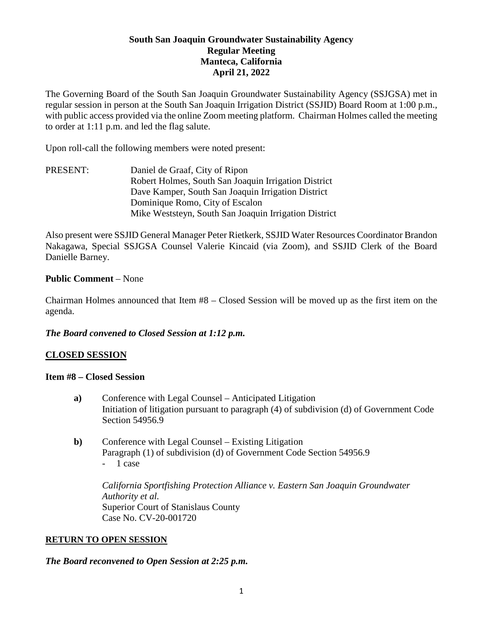## **South San Joaquin Groundwater Sustainability Agency Regular Meeting Manteca, California April 21, 2022**

The Governing Board of the South San Joaquin Groundwater Sustainability Agency (SSJGSA) met in regular session in person at the South San Joaquin Irrigation District (SSJID) Board Room at 1:00 p.m., with public access provided via the online Zoom meeting platform. Chairman Holmes called the meeting to order at 1:11 p.m. and led the flag salute.

Upon roll-call the following members were noted present:

PRESENT: Daniel de Graaf, City of Ripon Robert Holmes, South San Joaquin Irrigation District Dave Kamper, South San Joaquin Irrigation District Dominique Romo, City of Escalon Mike Weststeyn, South San Joaquin Irrigation District

Also present were SSJID General Manager Peter Rietkerk, SSJID Water Resources Coordinator Brandon Nakagawa, Special SSJGSA Counsel Valerie Kincaid (via Zoom), and SSJID Clerk of the Board Danielle Barney.

### **Public Comment** – None

Chairman Holmes announced that Item #8 – Closed Session will be moved up as the first item on the agenda.

## *The Board convened to Closed Session at 1:12 p.m.*

## **CLOSED SESSION**

#### **Item #8 – Closed Session**

- **a)** Conference with Legal Counsel Anticipated Litigation Initiation of litigation pursuant to paragraph (4) of subdivision (d) of Government Code Section 54956.9
- **b)** Conference with Legal Counsel Existing Litigation Paragraph (1) of subdivision (d) of Government Code Section 54956.9 - 1 case

*California Sportfishing Protection Alliance v. Eastern San Joaquin Groundwater Authority et al.* Superior Court of Stanislaus County Case No. CV-20-001720

#### **RETURN TO OPEN SESSION**

#### *The Board reconvened to Open Session at 2:25 p.m.*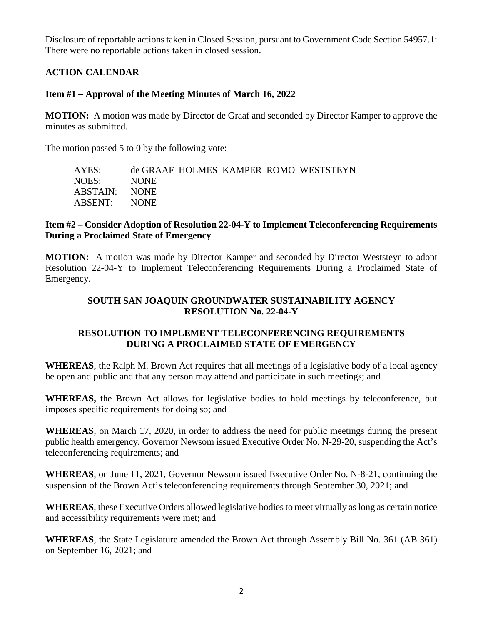Disclosure of reportable actions taken in Closed Session, pursuant to Government Code Section 54957.1: There were no reportable actions taken in closed session.

## **ACTION CALENDAR**

## **Item #1 – Approval of the Meeting Minutes of March 16, 2022**

**MOTION:** A motion was made by Director de Graaf and seconded by Director Kamper to approve the minutes as submitted.

The motion passed 5 to 0 by the following vote:

| AYES:         |             |  | de GRAAF HOLMES KAMPER ROMO WESTSTEYN |
|---------------|-------------|--|---------------------------------------|
| NOES:         | <b>NONE</b> |  |                                       |
| ABSTAIN: NONE |             |  |                                       |
| ABSENT: NONE  |             |  |                                       |

## **Item #2 – Consider Adoption of Resolution 22-04-Y to Implement Teleconferencing Requirements During a Proclaimed State of Emergency**

**MOTION:** A motion was made by Director Kamper and seconded by Director Weststeyn to adopt Resolution 22-04-Y to Implement Teleconferencing Requirements During a Proclaimed State of Emergency.

## **SOUTH SAN JOAQUIN GROUNDWATER SUSTAINABILITY AGENCY RESOLUTION No. 22-04-Y**

# **RESOLUTION TO IMPLEMENT TELECONFERENCING REQUIREMENTS DURING A PROCLAIMED STATE OF EMERGENCY**

**WHEREAS**, the Ralph M. Brown Act requires that all meetings of a legislative body of a local agency be open and public and that any person may attend and participate in such meetings; and

**WHEREAS,** the Brown Act allows for legislative bodies to hold meetings by teleconference, but imposes specific requirements for doing so; and

**WHEREAS**, on March 17, 2020, in order to address the need for public meetings during the present public health emergency, Governor Newsom issued Executive Order No. N-29-20, suspending the Act's teleconferencing requirements; and

**WHEREAS**, on June 11, 2021, Governor Newsom issued Executive Order No. N-8-21, continuing the suspension of the Brown Act's teleconferencing requirements through September 30, 2021; and

**WHEREAS**, these Executive Orders allowed legislative bodies to meet virtually as long as certain notice and accessibility requirements were met; and

**WHEREAS**, the State Legislature amended the Brown Act through Assembly Bill No. 361 (AB 361) on September 16, 2021; and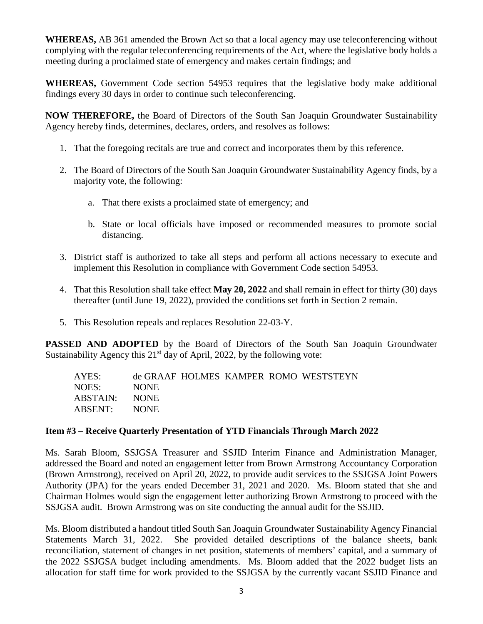**WHEREAS,** AB 361 amended the Brown Act so that a local agency may use teleconferencing without complying with the regular teleconferencing requirements of the Act, where the legislative body holds a meeting during a proclaimed state of emergency and makes certain findings; and

**WHEREAS,** Government Code section 54953 requires that the legislative body make additional findings every 30 days in order to continue such teleconferencing.

**NOW THEREFORE,** the Board of Directors of the South San Joaquin Groundwater Sustainability Agency hereby finds, determines, declares, orders, and resolves as follows:

- 1. That the foregoing recitals are true and correct and incorporates them by this reference.
- 2. The Board of Directors of the South San Joaquin Groundwater Sustainability Agency finds, by a majority vote, the following:
	- a. That there exists a proclaimed state of emergency; and
	- b. State or local officials have imposed or recommended measures to promote social distancing.
- 3. District staff is authorized to take all steps and perform all actions necessary to execute and implement this Resolution in compliance with Government Code section 54953.
- 4. That this Resolution shall take effect **May 20, 2022** and shall remain in effect for thirty (30) days thereafter (until June 19, 2022), provided the conditions set forth in Section 2 remain.
- 5. This Resolution repeals and replaces Resolution 22-03-Y.

**PASSED AND ADOPTED** by the Board of Directors of the South San Joaquin Groundwater Sustainability Agency this  $21<sup>st</sup>$  day of April, 2022, by the following vote:

| AYES:         |       |  | de GRAAF HOLMES KAMPER ROMO WESTSTEYN |
|---------------|-------|--|---------------------------------------|
| NOES:         | NONE. |  |                                       |
| ABSTAIN: NONE |       |  |                                       |
| ABSENT: NONE  |       |  |                                       |

## **Item #3 – Receive Quarterly Presentation of YTD Financials Through March 2022**

Ms. Sarah Bloom, SSJGSA Treasurer and SSJID Interim Finance and Administration Manager, addressed the Board and noted an engagement letter from Brown Armstrong Accountancy Corporation (Brown Armstrong), received on April 20, 2022, to provide audit services to the SSJGSA Joint Powers Authority (JPA) for the years ended December 31, 2021 and 2020. Ms. Bloom stated that she and Chairman Holmes would sign the engagement letter authorizing Brown Armstrong to proceed with the SSJGSA audit. Brown Armstrong was on site conducting the annual audit for the SSJID.

Ms. Bloom distributed a handout titled South San Joaquin Groundwater Sustainability Agency Financial Statements March 31, 2022. She provided detailed descriptions of the balance sheets, bank reconciliation, statement of changes in net position, statements of members' capital, and a summary of the 2022 SSJGSA budget including amendments. Ms. Bloom added that the 2022 budget lists an allocation for staff time for work provided to the SSJGSA by the currently vacant SSJID Finance and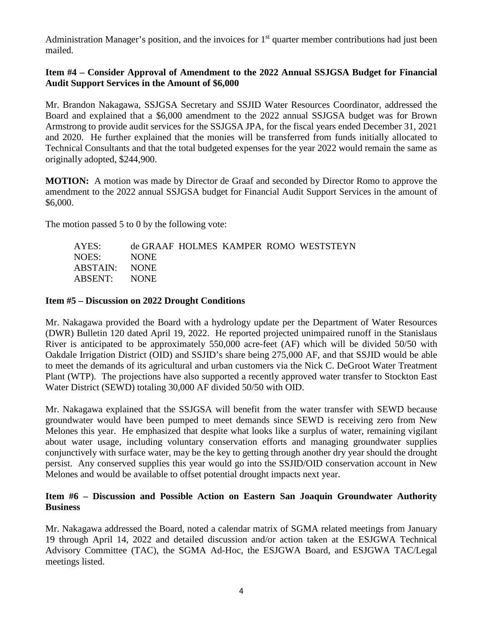Administration Manager's position, and the invoices for  $1<sup>st</sup>$  quarter member contributions had just been mailed.

### **Item #4 – Consider Approval of Amendment to the 2022 Annual SSJGSA Budget for Financial Audit Support Services in the Amount of \$6,000**

Mr. Brandon Nakagawa, SSJGSA Secretary and SSJID Water Resources Coordinator, addressed the Board and explained that a \$6,000 amendment to the 2022 annual SSJGSA budget was for Brown Armstrong to provide audit services for the SSJGSA JPA, for the fiscal years ended December 31, 2021 and 2020. He further explained that the monies will be transferred from funds initially allocated to Technical Consultants and that the total budgeted expenses for the year 2022 would remain the same as originally adopted, \$244,900.

**MOTION:** A motion was made by Director de Graaf and seconded by Director Romo to approve the amendment to the 2022 annual SSJGSA budget for Financial Audit Support Services in the amount of \$6,000.

The motion passed 5 to 0 by the following vote:

| AYES:         |             |  | de GRAAF HOLMES KAMPER ROMO WESTSTEYN |
|---------------|-------------|--|---------------------------------------|
| NOES: -       | <b>NONE</b> |  |                                       |
| ABSTAIN: NONE |             |  |                                       |
| ABSENT: NONE  |             |  |                                       |
|               |             |  |                                       |

### **Item #5 – Discussion on 2022 Drought Conditions**

Mr. Nakagawa provided the Board with a hydrology update per the Department of Water Resources (DWR) Bulletin 120 dated April 19, 2022. He reported projected unimpaired runoff in the Stanislaus River is anticipated to be approximately 550,000 acre-feet (AF) which will be divided 50/50 with Oakdale Irrigation District (OID) and SSJID's share being 275,000 AF, and that SSJID would be able to meet the demands of its agricultural and urban customers via the Nick C. DeGroot Water Treatment Plant (WTP). The projections have also supported a recently approved water transfer to Stockton East Water District (SEWD) totaling 30,000 AF divided 50/50 with OID.

Mr. Nakagawa explained that the SSJGSA will benefit from the water transfer with SEWD because groundwater would have been pumped to meet demands since SEWD is receiving zero from New Melones this year. He emphasized that despite what looks like a surplus of water, remaining vigilant about water usage, including voluntary conservation efforts and managing groundwater supplies conjunctively with surface water, may be the key to getting through another dry year should the drought persist. Any conserved supplies this year would go into the SSJID/OID conservation account in New Melones and would be available to offset potential drought impacts next year.

## **Item #6 – Discussion and Possible Action on Eastern San Joaquin Groundwater Authority Business**

Mr. Nakagawa addressed the Board, noted a calendar matrix of SGMA related meetings from January 19 through April 14, 2022 and detailed discussion and/or action taken at the ESJGWA Technical Advisory Committee (TAC), the SGMA Ad-Hoc, the ESJGWA Board, and ESJGWA TAC/Legal meetings listed.